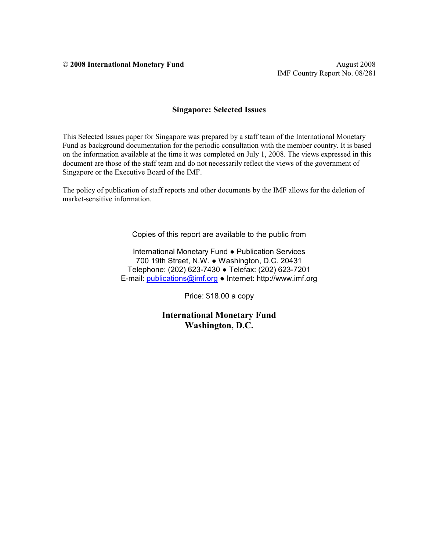© **2008 International Monetary Fund** August 2008

IMF Country Report No. 08/281

#### **Singapore: Selected Issues**

This Selected Issues paper for Singapore was prepared by a staff team of the International Monetary Fund as background documentation for the periodic consultation with the member country. It is based on the information available at the time it was completed on July 1, 2008. The views expressed in this document are those of the staff team and do not necessarily reflect the views of the government of Singapore or the Executive Board of the IMF.

The policy of publication of staff reports and other documents by the IMF allows for the deletion of market-sensitive information.

Copies of this report are available to the public from

International Monetary Fund ● Publication Services 700 19th Street, N.W. ● Washington, D.C. 20431 Telephone: (202) 623-7430 ● Telefax: (202) 623-7201 E-mail: [publications@imf.org](mailto:publications@imf.org) ● Internet: http://www.imf.org

Price: \$18.00 a copy

**International Monetary Fund Washington, D.C.**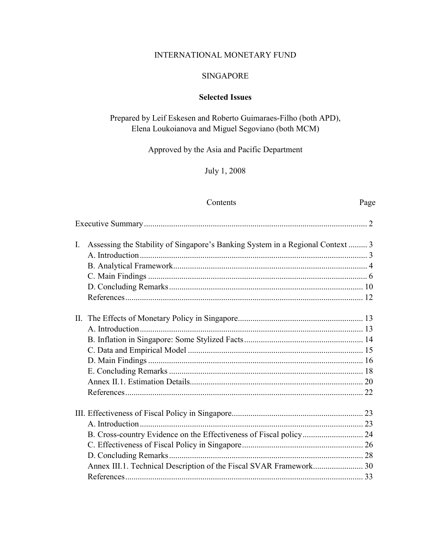## INTERNATIONAL MONETARY FUND

### SINGAPORE

## **Selected Issues**

## Prepared by Leif Eskesen and Roberto Guimaraes-Filho (both APD), Elena Loukoianova and Miguel Segoviano (both MCM)

Approved by the Asia and Pacific Department

July 1, 2008

### Contents Page

| $\mathbf{I}$ . | Assessing the Stability of Singapore's Banking System in a Regional Context  3 |  |
|----------------|--------------------------------------------------------------------------------|--|
|                |                                                                                |  |
|                |                                                                                |  |
|                |                                                                                |  |
|                |                                                                                |  |
|                |                                                                                |  |
|                |                                                                                |  |
|                |                                                                                |  |
|                |                                                                                |  |
|                |                                                                                |  |
|                |                                                                                |  |
|                |                                                                                |  |
|                |                                                                                |  |
|                |                                                                                |  |
|                |                                                                                |  |
|                |                                                                                |  |
|                |                                                                                |  |
|                |                                                                                |  |
|                |                                                                                |  |
|                |                                                                                |  |
|                |                                                                                |  |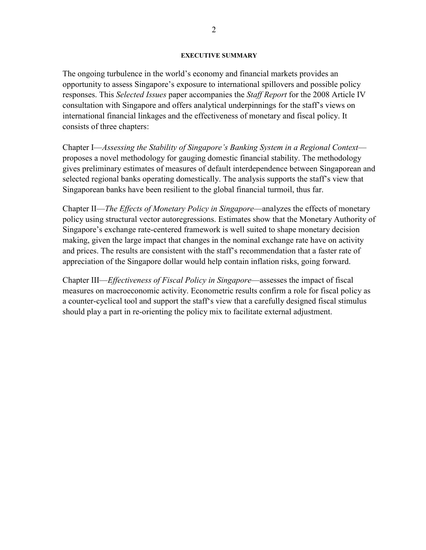#### **EXECUTIVE SUMMARY**

The ongoing turbulence in the world's economy and financial markets provides an opportunity to assess Singapore's exposure to international spillovers and possible policy responses. This *Selected Issues* paper accompanies the *Staff Report* for the 2008 Article IV consultation with Singapore and offers analytical underpinnings for the staff's views on international financial linkages and the effectiveness of monetary and fiscal policy. It consists of three chapters:

Chapter I—*Assessing the Stability of Singapore's Banking System in a Regional Context* proposes a novel methodology for gauging domestic financial stability. The methodology gives preliminary estimates of measures of default interdependence between Singaporean and selected regional banks operating domestically. The analysis supports the staff's view that Singaporean banks have been resilient to the global financial turmoil, thus far.

Chapter II—*The Effects of Monetary Policy in Singapore*—analyzes the effects of monetary policy using structural vector autoregressions. Estimates show that the Monetary Authority of Singapore's exchange rate-centered framework is well suited to shape monetary decision making, given the large impact that changes in the nominal exchange rate have on activity and prices. The results are consistent with the staff's recommendation that a faster rate of appreciation of the Singapore dollar would help contain inflation risks, going forward.

Chapter III—*Effectiveness of Fiscal Policy in Singapore*—assesses the impact of fiscal measures on macroeconomic activity. Econometric results confirm a role for fiscal policy as a counter-cyclical tool and support the staff's view that a carefully designed fiscal stimulus should play a part in re-orienting the policy mix to facilitate external adjustment.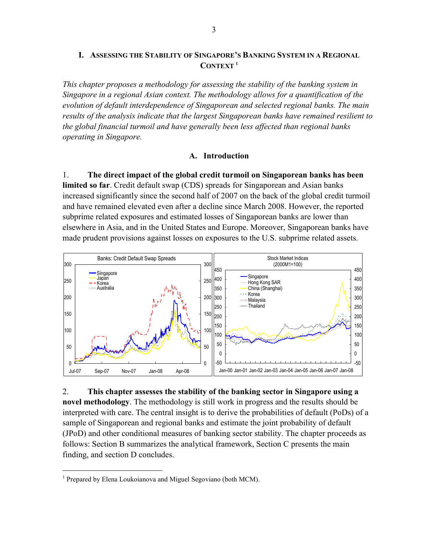### **I. ASSESSING THE STABILITY OF SINGAPORE'S BANKING SYSTEM IN A REGIONAL CONTEXT 1**

*This chapter proposes a methodology for assessing the stability of the banking system in Singapore in a regional Asian context. The methodology allows for a quantification of the evolution of default interdependence of Singaporean and selected regional banks. The main results of the analysis indicate that the largest Singaporean banks have remained resilient to the global financial turmoil and have generally been less affected than regional banks operating in Singapore.* 

#### **A. Introduction**

1. **The direct impact of the global credit turmoil on Singaporean banks has been limited so far**. Credit default swap (CDS) spreads for Singaporean and Asian banks increased significantly since the second half of 2007 on the back of the global credit turmoil and have remained elevated even after a decline since March 2008. However, the reported subprime related exposures and estimated losses of Singaporean banks are lower than elsewhere in Asia, and in the United States and Europe. Moreover, Singaporean banks have made prudent provisions against losses on exposures to the U.S. subprime related assets.



2. **This chapter assesses the stability of the banking sector in Singapore using a novel methodology**. The methodology is still work in progress and the results should be interpreted with care. The central insight is to derive the probabilities of default (PoDs) of a sample of Singaporean and regional banks and estimate the joint probability of default (JPoD) and other conditional measures of banking sector stability. The chapter proceeds as follows: Section B summarizes the analytical framework, Section C presents the main finding, and section D concludes.

1

<sup>&</sup>lt;sup>1</sup> Prepared by Elena Loukoianova and Miguel Segoviano (both MCM).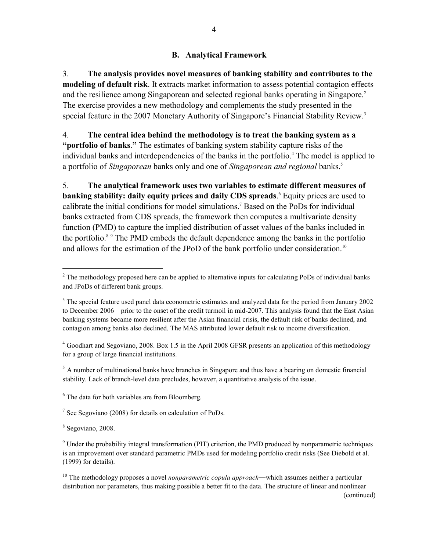## **B. Analytical Framework**

3. **The analysis provides novel measures of banking stability and contributes to the modeling of default risk**. It extracts market information to assess potential contagion effects and the resilience among Singaporean and selected regional banks operating in Singapore.<sup>2</sup> The exercise provides a new methodology and complements the study presented in the special feature in the 2007 Monetary Authority of Singapore's Financial Stability Review.<sup>3</sup>

4. **The central idea behind the methodology is to treat the banking system as a "portfolio of banks**.**"** The estimates of banking system stability capture risks of the individual banks and interdependencies of the banks in the portfolio.<sup>4</sup> The model is applied to a portfolio of *Singaporean* banks only and one of *Singaporean and regional* banks.5

5. **The analytical framework uses two variables to estimate different measures of banking stability: daily equity prices and daily CDS spreads**. 6 Equity prices are used to calibrate the initial conditions for model simulations.<sup>7</sup> Based on the PoDs for individual banks extracted from CDS spreads, the framework then computes a multivariate density function (PMD) to capture the implied distribution of asset values of the banks included in the portfolio.<sup>8</sup> The PMD embeds the default dependence among the banks in the portfolio and allows for the estimation of the JPoD of the bank portfolio under consideration.<sup>10</sup>

<sup>4</sup> Goodhart and Segoviano, 2008. Box 1.5 in the April 2008 GFSR presents an application of this methodology for a group of large financial institutions.

 $<sup>5</sup>$  A number of multinational banks have branches in Singapore and thus have a bearing on domestic financial</sup> stability. Lack of branch-level data precludes, however, a quantitative analysis of the issue.

6 The data for both variables are from Bloomberg.

<sup>7</sup> See Segoviano (2008) for details on calculation of PoDs.

8 Segoviano, 2008.

 $\overline{a}$ 

 $2^2$  The methodology proposed here can be applied to alternative inputs for calculating PoDs of individual banks and JPoDs of different bank groups.

<sup>&</sup>lt;sup>3</sup> The special feature used panel data econometric estimates and analyzed data for the period from January 2002 to December 2006—prior to the onset of the credit turmoil in mid-2007. This analysis found that the East Asian banking systems became more resilient after the Asian financial crisis, the default risk of banks declined, and contagion among banks also declined. The MAS attributed lower default risk to income diversification.

<sup>&</sup>lt;sup>9</sup> Under the probability integral transformation (PIT) criterion, the PMD produced by nonparametric techniques is an improvement over standard parametric PMDs used for modeling portfolio credit risks (See Diebold et al. (1999) for details).

<sup>&</sup>lt;sup>10</sup> The methodology proposes a novel *nonparametric copula approach*—which assumes neither a particular distribution nor parameters, thus making possible a better fit to the data. The structure of linear and nonlinear (continued)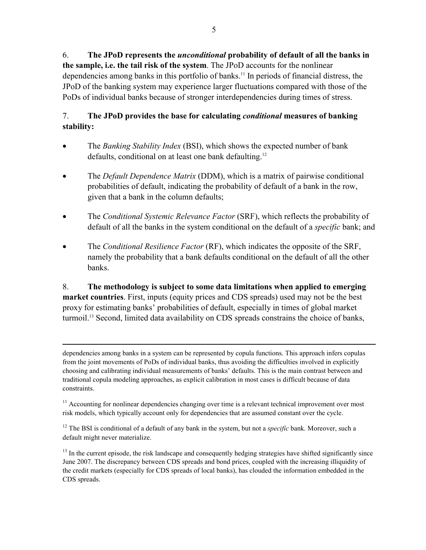6. **The JPoD represents the** *unconditional* **probability of default of all the banks in the sample, i.e. the tail risk of the system**. The JPoD accounts for the nonlinear dependencies among banks in this portfolio of banks.<sup>11</sup> In periods of financial distress, the JPoD of the banking system may experience larger fluctuations compared with those of the PoDs of individual banks because of stronger interdependencies during times of stress.

# 7. **The JPoD provides the base for calculating** *conditional* **measures of banking stability:**

- The *Banking Stability Index* (BSI), which shows the expected number of bank defaults, conditional on at least one bank defaulting.<sup>12</sup>
- The *Default Dependence Matrix* (DDM), which is a matrix of pairwise conditional probabilities of default, indicating the probability of default of a bank in the row, given that a bank in the column defaults;
- The *Conditional Systemic Relevance Factor* (SRF), which reflects the probability of default of all the banks in the system conditional on the default of a *specific* bank; and
- The *Conditional Resilience Factor* (RF), which indicates the opposite of the SRF, namely the probability that a bank defaults conditional on the default of all the other banks.

8. **The methodology is subject to some data limitations when applied to emerging market countries**. First, inputs (equity prices and CDS spreads) used may not be the best proxy for estimating banks' probabilities of default, especially in times of global market turmoil.13 Second, limited data availability on CDS spreads constrains the choice of banks,

1

dependencies among banks in a system can be represented by copula functions. This approach infers copulas from the joint movements of PoDs of individual banks, thus avoiding the difficulties involved in explicitly choosing and calibrating individual measurements of banks' defaults. This is the main contrast between and traditional copula modeling approaches, as explicit calibration in most cases is difficult because of data constraints.

 $11$  Accounting for nonlinear dependencies changing over time is a relevant technical improvement over most risk models, which typically account only for dependencies that are assumed constant over the cycle.

<sup>&</sup>lt;sup>12</sup> The BSI is conditional of a default of any bank in the system, but not a *specific* bank. Moreover, such a default might never materialize.

 $<sup>13</sup>$  In the current episode, the risk landscape and consequently hedging strategies have shifted significantly since</sup> June 2007. The discrepancy between CDS spreads and bond prices, coupled with the increasing illiquidity of the credit markets (especially for CDS spreads of local banks), has clouded the information embedded in the CDS spreads.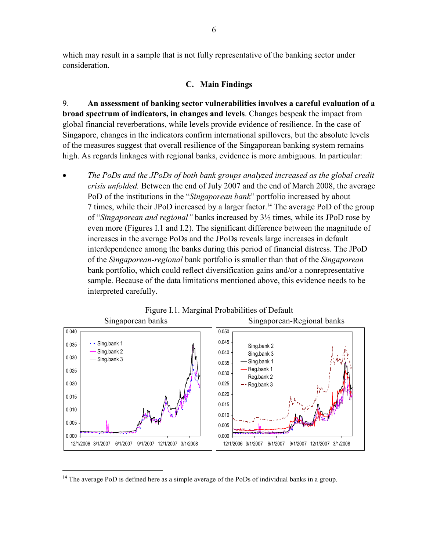which may result in a sample that is not fully representative of the banking sector under consideration.

### **C. Main Findings**

9. **An assessment of banking sector vulnerabilities involves a careful evaluation of a broad spectrum of indicators, in changes and levels**. Changes bespeak the impact from global financial reverberations, while levels provide evidence of resilience. In the case of Singapore, changes in the indicators confirm international spillovers, but the absolute levels of the measures suggest that overall resilience of the Singaporean banking system remains high. As regards linkages with regional banks, evidence is more ambiguous. In particular:

• *The PoDs and the JPoDs of both bank groups analyzed increased as the global credit crisis unfolded.* Between the end of July 2007 and the end of March 2008, the average PoD of the institutions in the "*Singaporean bank*" portfolio increased by about 7 times, while their JPoD increased by a larger factor.<sup>14</sup> The average PoD of the group of "*Singaporean and regional"* banks increased by 3½ times, while its JPoD rose by even more (Figures I.1 and I.2). The significant difference between the magnitude of increases in the average PoDs and the JPoDs reveals large increases in default interdependence among the banks during this period of financial distress. The JPoD of the *Singaporean-regional* bank portfolio is smaller than that of the *Singaporean* bank portfolio, which could reflect diversification gains and/or a nonrepresentative sample. Because of the data limitations mentioned above, this evidence needs to be interpreted carefully.



 $14$  The average PoD is defined here as a simple average of the PoDs of individual banks in a group.

1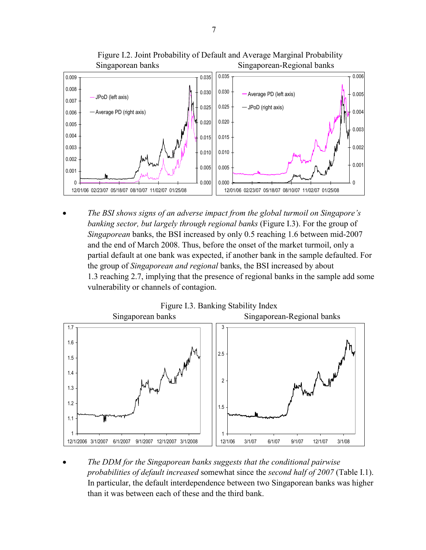

 Figure I.2. Joint Probability of Default and Average Marginal Probability Singaporean banks Singaporean-Regional banks

• *The BSI shows signs of an adverse impact from the global turmoil on Singapore's banking sector, but largely through regional banks* (Figure I.3). For the group of *Singaporean* banks, the BSI increased by only 0.5 reaching 1.6 between mid-2007 and the end of March 2008. Thus, before the onset of the market turmoil, only a partial default at one bank was expected, if another bank in the sample defaulted. For the group of *Singaporean and regional* banks, the BSI increased by about 1.3 reaching 2.7, implying that the presence of regional banks in the sample add some vulnerability or channels of contagion.



• *The DDM for the Singaporean banks suggests that the conditional pairwise probabilities of default increased* somewhat since the *second half of 2007* (Table I.1). In particular, the default interdependence between two Singaporean banks was higher than it was between each of these and the third bank.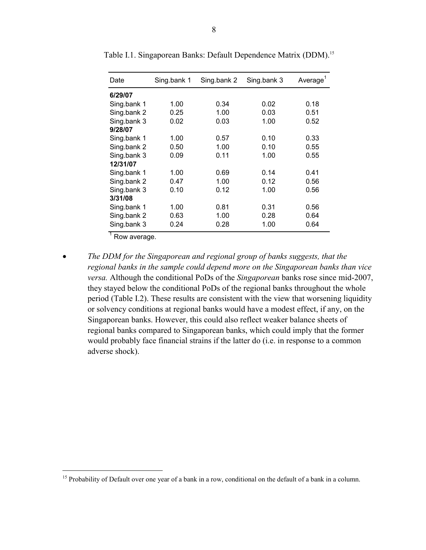| Date                       | Sing.bank 1 | Sing.bank 2 | Sing.bank 3 | Average <sup>1</sup> |  |
|----------------------------|-------------|-------------|-------------|----------------------|--|
| 6/29/07                    |             |             |             |                      |  |
| Sing bank 1                | 1.00        | 0.34        | 0.02        | 0.18                 |  |
| Sing.bank 2                | 0.25        | 1.00        | 0.03        | 0.51                 |  |
| Sing.bank 3                | 0.02        | 0.03        | 1.00        | 0.52                 |  |
| 9/28/07                    |             |             |             |                      |  |
| Sing.bank 1                | 1.00        | 0.57        | 0.10        | 0.33                 |  |
| Sing.bank 2                | 0.50        | 1.00        | 0.10        | 0.55                 |  |
| Sing bank 3                | 0.09        | 0.11        | 1.00        | 0.55                 |  |
| 12/31/07                   |             |             |             |                      |  |
| Sing.bank 1                | 1.00        | 0.69        | 0.14        | 0.41                 |  |
| Sing.bank 2                | 0.47        | 1.00        | 0.12        | 0.56                 |  |
| Sing.bank 3                | 0.10        | 0.12        | 1.00        | 0.56                 |  |
| 3/31/08                    |             |             |             |                      |  |
| Sing.bank 1                | 1.00        | 0.81        | 0.31        | 0.56                 |  |
| Sing.bank 2                | 0.63        | 1.00        | 0.28        | 0.64                 |  |
| Sing.bank 3                | 0.24        | 0.28        | 1.00        | 0.64                 |  |
| $\overline{1}$ Dow overage |             |             |             |                      |  |

Table I.1. Singaporean Banks: Default Dependence Matrix (DDM).15

Row average.

 $\overline{a}$ 

• *The DDM for the Singaporean and regional group of banks suggests, that the regional banks in the sample could depend more on the Singaporean banks than vice versa.* Although the conditional PoDs of the *Singaporean* banks rose since mid-2007, they stayed below the conditional PoDs of the regional banks throughout the whole period (Table I.2). These results are consistent with the view that worsening liquidity or solvency conditions at regional banks would have a modest effect, if any, on the Singaporean banks. However, this could also reflect weaker balance sheets of regional banks compared to Singaporean banks, which could imply that the former would probably face financial strains if the latter do (i.e. in response to a common adverse shock).

<sup>&</sup>lt;sup>15</sup> Probability of Default over one year of a bank in a row, conditional on the default of a bank in a column.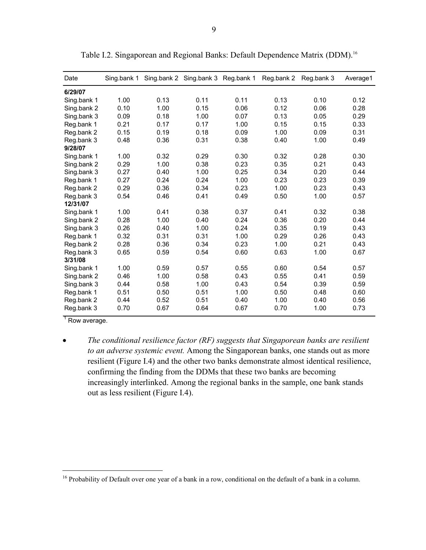| Date        | Sing.bank 1 |      | Sing.bank 2 Sing.bank 3 | Reg.bank 1 | Reg.bank 2 | Reg.bank 3 | Average1 |
|-------------|-------------|------|-------------------------|------------|------------|------------|----------|
| 6/29/07     |             |      |                         |            |            |            |          |
| Sing bank 1 | 1.00        | 0.13 | 0.11                    | 0.11       | 0.13       | 0.10       | 0.12     |
| Sing.bank 2 | 0.10        | 1.00 | 0.15                    | 0.06       | 0.12       | 0.06       | 0.28     |
| Sing.bank 3 | 0.09        | 0.18 | 1.00                    | 0.07       | 0.13       | 0.05       | 0.29     |
| Reg.bank 1  | 0.21        | 0.17 | 0.17                    | 1.00       | 0.15       | 0.15       | 0.33     |
| Reg.bank 2  | 0.15        | 0.19 | 0.18                    | 0.09       | 1.00       | 0.09       | 0.31     |
| Reg.bank 3  | 0.48        | 0.36 | 0.31                    | 0.38       | 0.40       | 1.00       | 0.49     |
| 9/28/07     |             |      |                         |            |            |            |          |
| Sing.bank 1 | 1.00        | 0.32 | 0.29                    | 0.30       | 0.32       | 0.28       | 0.30     |
| Sing bank 2 | 0.29        | 1.00 | 0.38                    | 0.23       | 0.35       | 0.21       | 0.43     |
| Sing.bank 3 | 0.27        | 0.40 | 1.00                    | 0.25       | 0.34       | 0.20       | 0.44     |
| Reg.bank 1  | 0.27        | 0.24 | 0.24                    | 1.00       | 0.23       | 0.23       | 0.39     |
| Reg.bank 2  | 0.29        | 0.36 | 0.34                    | 0.23       | 1.00       | 0.23       | 0.43     |
| Reg.bank 3  | 0.54        | 0.46 | 0.41                    | 0.49       | 0.50       | 1.00       | 0.57     |
| 12/31/07    |             |      |                         |            |            |            |          |
| Sing.bank 1 | 1.00        | 0.41 | 0.38                    | 0.37       | 0.41       | 0.32       | 0.38     |
| Sing bank 2 | 0.28        | 1.00 | 0.40                    | 0.24       | 0.36       | 0.20       | 0.44     |
| Sing.bank 3 | 0.26        | 0.40 | 1.00                    | 0.24       | 0.35       | 0.19       | 0.43     |
| Reg.bank 1  | 0.32        | 0.31 | 0.31                    | 1.00       | 0.29       | 0.26       | 0.43     |
| Reg.bank 2  | 0.28        | 0.36 | 0.34                    | 0.23       | 1.00       | 0.21       | 0.43     |
| Reg.bank 3  | 0.65        | 0.59 | 0.54                    | 0.60       | 0.63       | 1.00       | 0.67     |
| 3/31/08     |             |      |                         |            |            |            |          |
| Sing.bank 1 | 1.00        | 0.59 | 0.57                    | 0.55       | 0.60       | 0.54       | 0.57     |
| Sing.bank 2 | 0.46        | 1.00 | 0.58                    | 0.43       | 0.55       | 0.41       | 0.59     |
| Sing.bank 3 | 0.44        | 0.58 | 1.00                    | 0.43       | 0.54       | 0.39       | 0.59     |
| Reg.bank 1  | 0.51        | 0.50 | 0.51                    | 1.00       | 0.50       | 0.48       | 0.60     |
| Reg.bank 2  | 0.44        | 0.52 | 0.51                    | 0.40       | 1.00       | 0.40       | 0.56     |
| Reg.bank 3  | 0.70        | 0.67 | 0.64                    | 0.67       | 0.70       | 1.00       | 0.73     |

Table I.2. Singaporean and Regional Banks: Default Dependence Matrix (DDM).<sup>16</sup>

 $<sup>1</sup>$  Row average.</sup>

1

• *The conditional resilience factor (RF) suggests that Singaporean banks are resilient to an adverse systemic event.* Among the Singaporean banks, one stands out as more resilient (Figure I.4) and the other two banks demonstrate almost identical resilience, confirming the finding from the DDMs that these two banks are becoming increasingly interlinked. Among the regional banks in the sample, one bank stands out as less resilient (Figure I.4).

<sup>&</sup>lt;sup>16</sup> Probability of Default over one year of a bank in a row, conditional on the default of a bank in a column.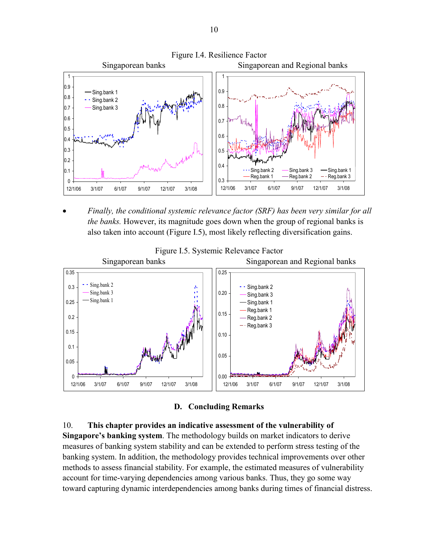

• *Finally, the conditional systemic relevance factor (SRF) has been very similar for all the banks.* However, its magnitude goes down when the group of regional banks is also taken into account (Figure I.5), most likely reflecting diversification gains.



**D. Concluding Remarks** 

10. **This chapter provides an indicative assessment of the vulnerability of Singapore's banking system**. The methodology builds on market indicators to derive measures of banking system stability and can be extended to perform stress testing of the banking system. In addition, the methodology provides technical improvements over other methods to assess financial stability. For example, the estimated measures of vulnerability account for time-varying dependencies among various banks. Thus, they go some way toward capturing dynamic interdependencies among banks during times of financial distress.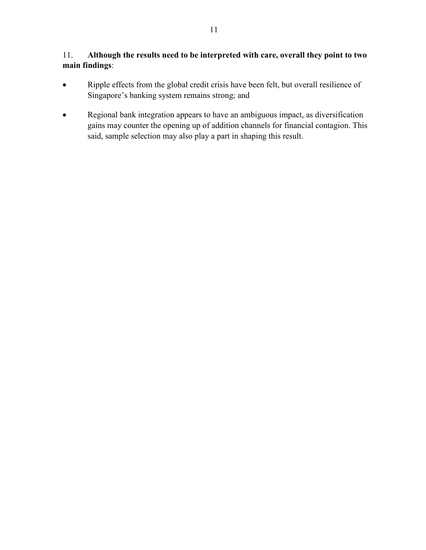# 11. **Although the results need to be interpreted with care, overall they point to two main findings**:

- Ripple effects from the global credit crisis have been felt, but overall resilience of Singapore's banking system remains strong; and
- Regional bank integration appears to have an ambiguous impact, as diversification gains may counter the opening up of addition channels for financial contagion. This said, sample selection may also play a part in shaping this result.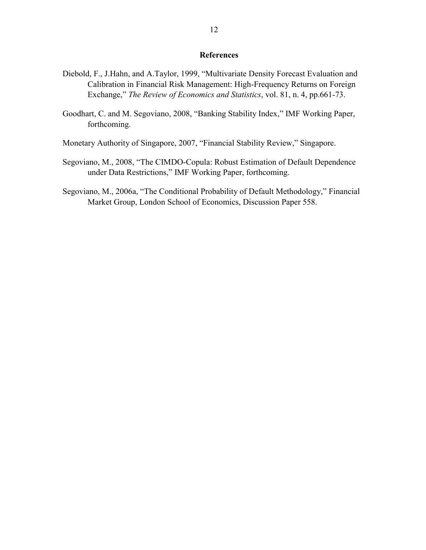### **References**

- Diebold, F., J.Hahn, and A.Taylor, 1999, "Multivariate Density Forecast Evaluation and Calibration in Financial Risk Management: High-Frequency Returns on Foreign Exchange," *The Review of Economics and Statistics*, vol. 81, n. 4, pp.661-73.
- Goodhart, C. and M. Segoviano, 2008, "Banking Stability Index," IMF Working Paper, forthcoming.
- Monetary Authority of Singapore, 2007, "Financial Stability Review," Singapore.
- Segoviano, M., 2008, "The CIMDO-Copula: Robust Estimation of Default Dependence under Data Restrictions," IMF Working Paper, forthcoming.
- Segoviano, M., 2006a, "The Conditional Probability of Default Methodology," Financial Market Group, London School of Economics, Discussion Paper 558.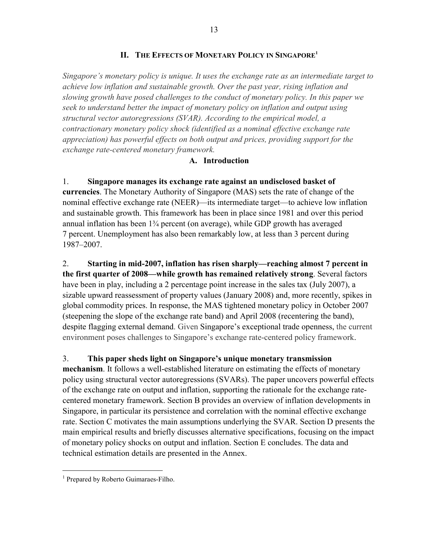### **II. THE EFFECTS OF MONETARY POLICY IN SINGAPORE1**

*Singapore's monetary policy is unique. It uses the exchange rate as an intermediate target to achieve low inflation and sustainable growth. Over the past year, rising inflation and slowing growth have posed challenges to the conduct of monetary policy. In this paper we seek to understand better the impact of monetary policy on inflation and output using structural vector autoregressions (SVAR). According to the empirical model, a contractionary monetary policy shock (identified as a nominal effective exchange rate appreciation) has powerful effects on both output and prices, providing support for the exchange rate-centered monetary framework.* 

### **A. Introduction**

## 1. **Singapore manages its exchange rate against an undisclosed basket of**

**currencies**. The Monetary Authority of Singapore (MAS) sets the rate of change of the nominal effective exchange rate (NEER)—its intermediate target—to achieve low inflation and sustainable growth. This framework has been in place since 1981 and over this period annual inflation has been 1¾ percent (on average), while GDP growth has averaged 7 percent. Unemployment has also been remarkably low, at less than 3 percent during 1987–2007.

2. **Starting in mid-2007, inflation has risen sharply—reaching almost 7 percent in the first quarter of 2008—while growth has remained relatively strong**. Several factors have been in play, including a 2 percentage point increase in the sales tax (July 2007), a sizable upward reassessment of property values (January 2008) and, more recently, spikes in global commodity prices. In response, the MAS tightened monetary policy in October 2007 (steepening the slope of the exchange rate band) and April 2008 (recentering the band), despite flagging external demand. Given Singapore's exceptional trade openness, the current environment poses challenges to Singapore's exchange rate-centered policy framework.

### 3. **This paper sheds light on Singapore's unique monetary transmission**

**mechanism**. It follows a well-established literature on estimating the effects of monetary policy using structural vector autoregressions (SVARs). The paper uncovers powerful effects of the exchange rate on output and inflation, supporting the rationale for the exchange ratecentered monetary framework. Section B provides an overview of inflation developments in Singapore, in particular its persistence and correlation with the nominal effective exchange rate. Section C motivates the main assumptions underlying the SVAR. Section D presents the main empirical results and briefly discusses alternative specifications, focusing on the impact of monetary policy shocks on output and inflation. Section E concludes. The data and technical estimation details are presented in the Annex.

 $\overline{a}$ 

<sup>&</sup>lt;sup>1</sup> Prepared by Roberto Guimaraes-Filho.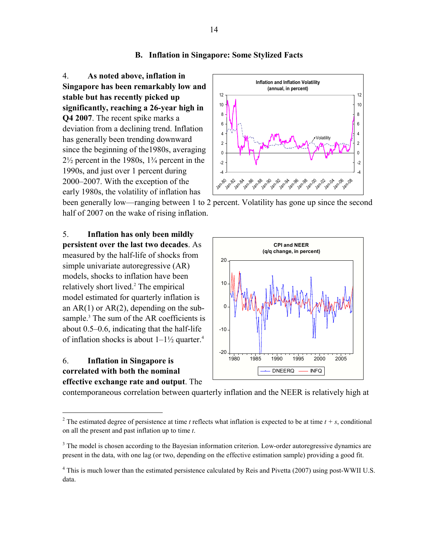#### **B. Inflation in Singapore: Some Stylized Facts**

4. **As noted above, inflation in Singapore has been remarkably low and stable but has recently picked up significantly, reaching a 26-year high in Q4 2007**. The recent spike marks a deviation from a declining trend. Inflation has generally been trending downward since the beginning of the1980s, averaging 2½ percent in the 1980s, 1¾ percent in the 1990s, and just over 1 percent during 2000–2007. With the exception of the early 1980s, the volatility of inflation has



been generally low—ranging between 1 to 2 percent. Volatility has gone up since the second half of 2007 on the wake of rising inflation.

5. **Inflation has only been mildly persistent over the last two decades**. As measured by the half-life of shocks from simple univariate autoregressive (AR) models, shocks to inflation have been relatively short lived.<sup>2</sup> The empirical model estimated for quarterly inflation is an  $AR(1)$  or  $AR(2)$ , depending on the subsample.<sup>3</sup> The sum of the AR coefficients is about 0.5–0.6, indicating that the half-life of inflation shocks is about  $1-1\frac{1}{2}$  quarter.<sup>4</sup>

## 6. **Inflation in Singapore is correlated with both the nominal effective exchange rate and output**. The

 $\overline{a}$ 



contemporaneous correlation between quarterly inflation and the NEER is relatively high at

<sup>&</sup>lt;sup>2</sup> The estimated degree of persistence at time *t* reflects what inflation is expected to be at time  $t + s$ , conditional on all the present and past inflation up to time *t*.

<sup>&</sup>lt;sup>3</sup> The model is chosen according to the Bayesian information criterion. Low-order autoregressive dynamics are present in the data, with one lag (or two, depending on the effective estimation sample) providing a good fit.

<sup>&</sup>lt;sup>4</sup> This is much lower than the estimated persistence calculated by Reis and Pivetta (2007) using post-WWII U.S. data.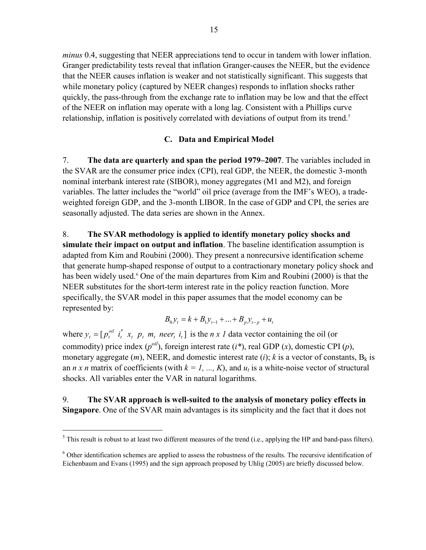*minus* 0.4, suggesting that NEER appreciations tend to occur in tandem with lower inflation. Granger predictability tests reveal that inflation Granger-causes the NEER, but the evidence that the NEER causes inflation is weaker and not statistically significant. This suggests that while monetary policy (captured by NEER changes) responds to inflation shocks rather quickly, the pass-through from the exchange rate to inflation may be low and that the effect of the NEER on inflation may operate with a long lag. Consistent with a Phillips curve relationship, inflation is positively correlated with deviations of output from its trend.<sup>5</sup>

## **C. Data and Empirical Model**

7. **The data are quarterly and span the period 1979–2007**. The variables included in the SVAR are the consumer price index (CPI), real GDP, the NEER, the domestic 3-month nominal interbank interest rate (SIBOR), money aggregates (M1 and M2), and foreign variables. The latter includes the "world" oil price (average from the IMF's WEO), a tradeweighted foreign GDP, and the 3-month LIBOR. In the case of GDP and CPI, the series are seasonally adjusted. The data series are shown in the Annex.

8. **The SVAR methodology is applied to identify monetary policy shocks and simulate their impact on output and inflation**. The baseline identification assumption is adapted from Kim and Roubini (2000). They present a nonrecursive identification scheme that generate hump-shaped response of output to a contractionary monetary policy shock and has been widely used.<sup>6</sup> One of the main departures from Kim and Roubini (2000) is that the NEER substitutes for the short-term interest rate in the policy reaction function. More specifically, the SVAR model in this paper assumes that the model economy can be represented by:

$$
B_0 y_t = k + B_1 y_{t-1} + \dots + B_p y_{t-p} + u_t
$$

where  $y_t = [p_t^{\text{oil}} \, i_t^* \, x_t \, p_t \, m_t \text{ neer}_t \, i_t]$  $y_t = [p_t^{out}$  i<sub>t</sub><sup>\*</sup>  $x_t$   $p_t$   $m_t$  neer<sub>t</sub> i<sub>t</sub>] is the *n x 1* data vector containing the oil (or commodity) price index  $(p^{oil})$ , foreign interest rate  $(i^*)$ , real GDP  $(x)$ , domestic CPI  $(p)$ , monetary aggregate  $(m)$ , NEER, and domestic interest rate  $(i)$ ;  $k$  is a vector of constants,  $B_k$  is an *n x n* matrix of coefficients (with  $k = 1, ..., K$ ), and  $u_t$  is a white-noise vector of structural shocks. All variables enter the VAR in natural logarithms.

9. **The SVAR approach is well-suited to the analysis of monetary policy effects in Singapore**. One of the SVAR main advantages is its simplicity and the fact that it does not

 $\overline{a}$ 

 $<sup>5</sup>$  This result is robust to at least two different measures of the trend (i.e., applying the HP and band-pass filters).</sup>

<sup>&</sup>lt;sup>6</sup> Other identification schemes are applied to assess the robustness of the results. The recursive identification of Eichenbaum and Evans (1995) and the sign approach proposed by Uhlig (2005) are briefly discussed below.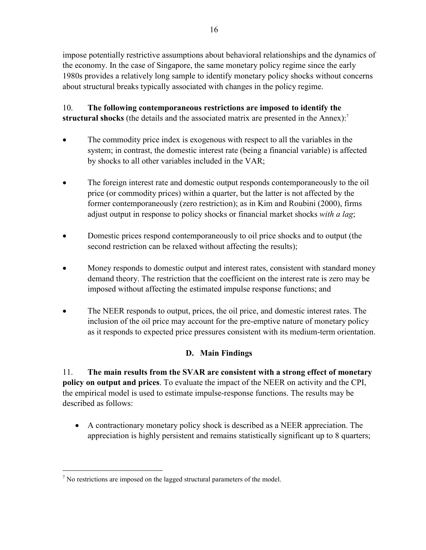impose potentially restrictive assumptions about behavioral relationships and the dynamics of the economy. In the case of Singapore, the same monetary policy regime since the early 1980s provides a relatively long sample to identify monetary policy shocks without concerns about structural breaks typically associated with changes in the policy regime.

10. **The following contemporaneous restrictions are imposed to identify the structural shocks** (the details and the associated matrix are presented in the Annex):<sup>7</sup>

- The commodity price index is exogenous with respect to all the variables in the system; in contrast, the domestic interest rate (being a financial variable) is affected by shocks to all other variables included in the VAR;
- The foreign interest rate and domestic output responds contemporaneously to the oil price (or commodity prices) within a quarter, but the latter is not affected by the former contemporaneously (zero restriction); as in Kim and Roubini (2000), firms adjust output in response to policy shocks or financial market shocks *with a lag*;
- Domestic prices respond contemporaneously to oil price shocks and to output (the second restriction can be relaxed without affecting the results);
- Money responds to domestic output and interest rates, consistent with standard money demand theory. The restriction that the coefficient on the interest rate is zero may be imposed without affecting the estimated impulse response functions; and
- The NEER responds to output, prices, the oil price, and domestic interest rates. The inclusion of the oil price may account for the pre-emptive nature of monetary policy as it responds to expected price pressures consistent with its medium-term orientation.

# **D. Main Findings**

11. **The main results from the SVAR are consistent with a strong effect of monetary policy on output and prices**. To evaluate the impact of the NEER on activity and the CPI, the empirical model is used to estimate impulse-response functions. The results may be described as follows:

• A contractionary monetary policy shock is described as a NEER appreciation. The appreciation is highly persistent and remains statistically significant up to 8 quarters;

1

 $<sup>7</sup>$  No restrictions are imposed on the lagged structural parameters of the model.</sup>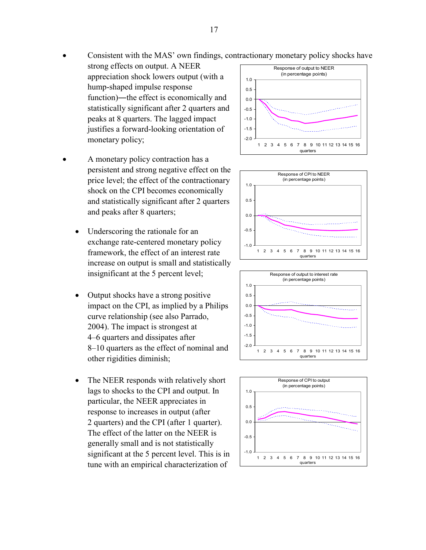### • Consistent with the MAS' own findings, contractionary monetary policy shocks have

- strong effects on output. A NEER appreciation shock lowers output (with a hump-shaped impulse response function)―the effect is economically and statistically significant after 2 quarters and peaks at 8 quarters. The lagged impact justifies a forward-looking orientation of monetary policy;
- A monetary policy contraction has a persistent and strong negative effect on the price level; the effect of the contractionary shock on the CPI becomes economically and statistically significant after 2 quarters and peaks after 8 quarters;
	- Underscoring the rationale for an exchange rate-centered monetary policy framework, the effect of an interest rate increase on output is small and statistically insignificant at the 5 percent level;
	- Output shocks have a strong positive impact on the CPI, as implied by a Philips curve relationship (see also Parrado, 2004). The impact is strongest at 4–6 quarters and dissipates after 8–10 quarters as the effect of nominal and other rigidities diminish;
	- The NEER responds with relatively short lags to shocks to the CPI and output. In particular, the NEER appreciates in response to increases in output (after 2 quarters) and the CPI (after 1 quarter). The effect of the latter on the NEER is generally small and is not statistically significant at the 5 percent level. This is in tune with an empirical characterization of







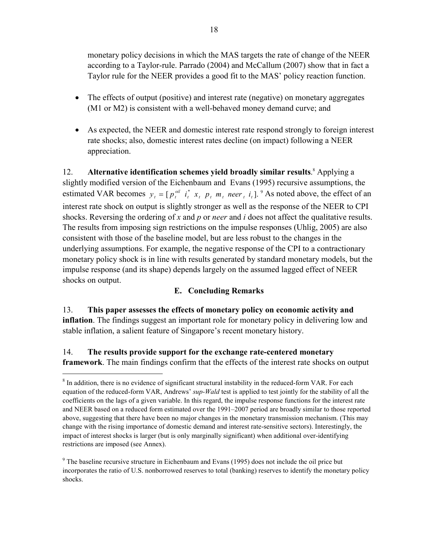monetary policy decisions in which the MAS targets the rate of change of the NEER according to a Taylor-rule. Parrado (2004) and McCallum (2007) show that in fact a Taylor rule for the NEER provides a good fit to the MAS' policy reaction function.

- The effects of output (positive) and interest rate (negative) on monetary aggregates (M1 or M2) is consistent with a well-behaved money demand curve; and
- As expected, the NEER and domestic interest rate respond strongly to foreign interest rate shocks; also, domestic interest rates decline (on impact) following a NEER appreciation.

12. Alternative identification schemes yield broadly similar results.<sup>8</sup> Applying a slightly modified version of the Eichenbaum and Evans (1995) recursive assumptions, the estimated VAR becomes  $y_t = [ p_t^{\text{oil}} \, i_t^* \, x_t \, p_t \, m_t \text{ } \text{never}_t \, i_t ]$ . <sup>9</sup> As noted above, the effect of an interest rate shock on output is slightly stronger as well as the response of the NEER to CPI shocks. Reversing the ordering of *x* and *p* or *neer* and *i* does not affect the qualitative results. The results from imposing sign restrictions on the impulse responses (Uhlig, 2005) are also consistent with those of the baseline model, but are less robust to the changes in the underlying assumptions. For example, the negative response of the CPI to a contractionary monetary policy shock is in line with results generated by standard monetary models, but the impulse response (and its shape) depends largely on the assumed lagged effect of NEER shocks on output.

## **E. Concluding Remarks**

13. **This paper assesses the effects of monetary policy on economic activity and inflation**. The findings suggest an important role for monetary policy in delivering low and stable inflation, a salient feature of Singapore's recent monetary history.

# 14. **The results provide support for the exchange rate-centered monetary framework**. The main findings confirm that the effects of the interest rate shocks on output

1

 $8$  In addition, there is no evidence of significant structural instability in the reduced-form VAR. For each equation of the reduced-form VAR, Andrews' *sup-Wald* test is applied to test jointly for the stability of all the coefficients on the lags of a given variable. In this regard, the impulse response functions for the interest rate and NEER based on a reduced form estimated over the 1991–2007 period are broadly similar to those reported above, suggesting that there have been no major changes in the monetary transmission mechanism. (This may change with the rising importance of domestic demand and interest rate-sensitive sectors). Interestingly, the impact of interest shocks is larger (but is only marginally significant) when additional over-identifying restrictions are imposed (see Annex).

 $9^9$  The baseline recursive structure in Eichenbaum and Evans (1995) does not include the oil price but incorporates the ratio of U.S. nonborrowed reserves to total (banking) reserves to identify the monetary policy shocks.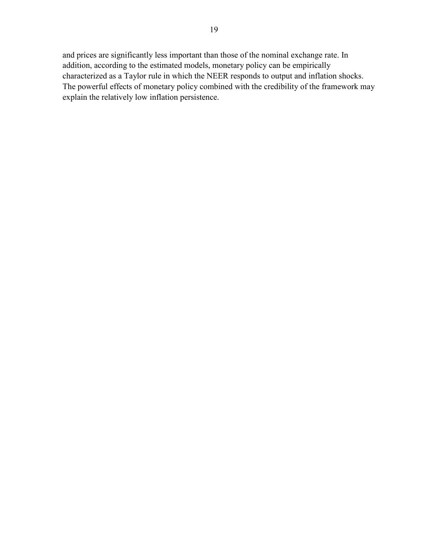and prices are significantly less important than those of the nominal exchange rate. In addition, according to the estimated models, monetary policy can be empirically characterized as a Taylor rule in which the NEER responds to output and inflation shocks. The powerful effects of monetary policy combined with the credibility of the framework may explain the relatively low inflation persistence.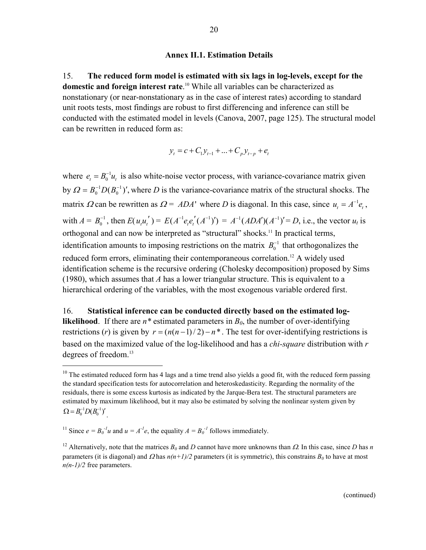#### **Annex II.1. Estimation Details**

15. **The reduced form model is estimated with six lags in log-levels, except for the domestic and foreign interest rate**. 10 While all variables can be characterized as nonstationary (or near-nonstationary as in the case of interest rates) according to standard unit roots tests, most findings are robust to first differencing and inference can still be conducted with the estimated model in levels (Canova, 2007, page 125). The structural model can be rewritten in reduced form as:

$$
y_t = c + C_1 y_{t-1} + \dots + C_p y_{t-p} + e_t
$$

where  $e_t = B_0^{-1} u_t$  is also white-noise vector process, with variance-covariance matrix given by  $\Omega = B_0^{-1} D(B_0^{-1})'$ ,  $= B_0^{-1} D(B_0^{-1})'$ , where *D* is the variance-covariance matrix of the structural shocks. The matrix  $\Omega$  can be rewritten as  $\Omega = ADA'$  where *D* is diagonal. In this case, since  $u_t = A^{-1}e_t$ , with  $A = B_0^{-1}$ , then  $E(u_iu_i') = E(A^{-1}e_i e_i' (A^{-1})') = A^{-1}(ADA')(A^{-1})' = D$ , i.e., the vector  $u_t$  is orthogonal and can now be interpreted as "structural" shocks.<sup>11</sup> In practical terms, identification amounts to imposing restrictions on the matrix  $B_0^{-1}$  that orthogonalizes the reduced form errors, eliminating their contemporaneous correlation.<sup>12</sup> A widely used identification scheme is the recursive ordering (Cholesky decomposition) proposed by Sims (1980), which assumes that *A* has a lower triangular structure. This is equivalent to a hierarchical ordering of the variables, with the most exogenous variable ordered first.

16. **Statistical inference can be conducted directly based on the estimated loglikelihood**. If there are  $n^*$  estimated parameters in  $B_0$ , the number of over-identifying restrictions (*r*) is given by  $r = (n(n-1)/2) - n^*$ . The test for over-identifying restrictions is based on the maximized value of the log-likelihood and has a *chi-square* distribution with *r* degrees of freedom.<sup>13</sup>

 $\overline{a}$ 

<sup>&</sup>lt;sup>10</sup> The estimated reduced form has 4 lags and a time trend also yields a good fit, with the reduced form passing the standard specification tests for autocorrelation and heteroskedasticity. Regarding the normality of the residuals, there is some excess kurtosis as indicated by the Jarque-Bera test. The structural parameters are estimated by maximum likelihood, but it may also be estimated by solving the nonlinear system given by  $\Omega = B_0^{-1} D (B_0^{-1})'$ .

<sup>&</sup>lt;sup>11</sup> Since  $e = B_0^{-1}u$  and  $u = A^{-1}e$ , the equality  $A = B_0^{-1}$  follows immediately.

<sup>&</sup>lt;sup>12</sup> Alternatively, note that the matrices  $B_0$  and  $D$  cannot have more unknowns than  $\Omega$ . In this case, since  $D$  has  $n$ parameters (it is diagonal) and  $\Omega$  has  $n(n+1)/2$  parameters (it is symmetric), this constrains  $B_0$  to have at most *n(n-1)/2* free parameters.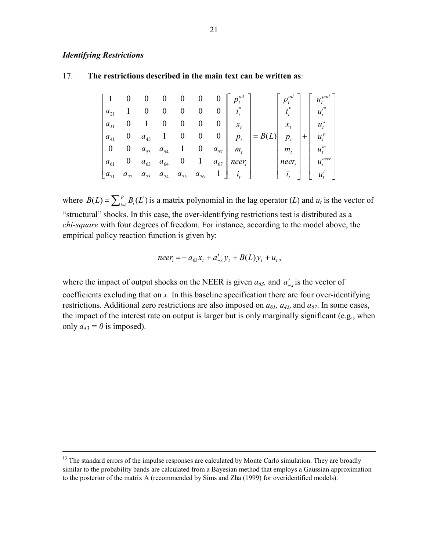#### *Identifying Restrictions*

<u>.</u>

#### 17. **The restrictions described in the main text can be written as**:

|          |                                     |  |                                  | $\begin{array}{ccccccc} 1 & 0 & 0 & 0 & 0 & 0 & 0 \end{array}$ |          | $p_{\scriptscriptstyle t}^{\scriptscriptstyle oil}$ |     | $\left\  u_t^{poin} \right\ $ |
|----------|-------------------------------------|--|----------------------------------|----------------------------------------------------------------|----------|-----------------------------------------------------|-----|-------------------------------|
| $a_{21}$ | $1 \quad 0 \quad 0 \quad 0 \quad 0$ |  | $\begin{array}{c} 0 \end{array}$ | $i_{\epsilon}$                                                 |          |                                                     |     | $u^{i^*}_t$                   |
| $a_{31}$ | $0 \quad 1 \quad 0 \quad 0 \quad 0$ |  | $0 \parallel$                    | $\mathcal{X}$ .                                                |          |                                                     |     | $x_t$   $u_t^x$               |
| $a_{41}$ | 0 $a_{43}$ 1 0 0                    |  | $0 \parallel p_t$                |                                                                | $= B(L)$ |                                                     | $+$ | $u_{t}^{p}$                   |
|          | 0 0 $a_{53}$ $a_{54}$ 1 0           |  |                                  | $a_{57}$    $m_{\scriptscriptstyle t}$                         |          | $m_{t}$                                             |     | $u_t^m$                       |
| $a_{61}$ |                                     |  |                                  | 0 $a_{63}$ $a_{64}$ 0 1 $a_{67}$    neer <sub>t</sub>          |          | $ nee_{t} $   $u_t^{neer}$                          |     |                               |
| $a_{71}$ |                                     |  |                                  | $a_{72}$ $a_{73}$ $a_{74}$ $a_{75}$ $a_{76}$ 1   $i_{t}$       |          | $\vert i \rangle$                                   |     | $\vert u_t^i$                 |

where  $B(L) = \sum_{i=1}^{p} B_i(L^i)$  is a matrix polynomial in the lag operator (*L*) and  $u_t$  is the vector of "structural" shocks. In this case, the over-identifying restrictions test is distributed as a *chi-square* with four degrees of freedom. For instance, according to the model above, the empirical policy reaction function is given by:

$$
neer_t = -a_{63}x_t + a'_{-x}y_t + B(L)y_t + u_t,
$$

where the impact of output shocks on the NEER is given  $a_{63}$ , and  $a'_{-x}$  is the vector of coefficients excluding that on *x.* In this baseline specification there are four over-identifying restrictions. Additional zero restrictions are also imposed on  $a_{61}$ ,  $a_{43}$ , and  $a_{67}$ . In some cases, the impact of the interest rate on output is larger but is only marginally significant (e.g., when only  $a_{43} = 0$  is imposed).

<sup>&</sup>lt;sup>13</sup> The standard errors of the impulse responses are calculated by Monte Carlo simulation. They are broadly similar to the probability bands are calculated from a Bayesian method that employs a Gaussian approximation to the posterior of the matrix A (recommended by Sims and Zha (1999) for overidentified models).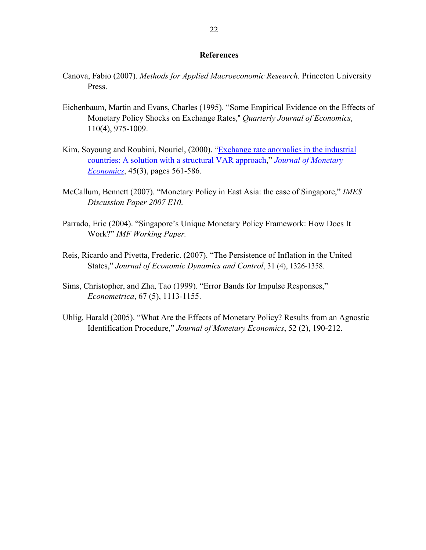#### **References**

- Canova, Fabio (2007). *Methods for Applied Macroeconomic Research.* Princeton University Press.
- Eichenbaum, Martin and Evans, Charles (1995). "Some Empirical Evidence on the Effects of Monetary Policy Shocks on Exchange Rates," *Quarterly Journal of Economics*, 110(4), 975-1009.
- Kim, Soyoung and Roubini, Nouriel, (2000). "Exchange rate anomalies in the industrial countries: A solution with a structural VAR approach," *Journal of Monetary Economics*, 45(3), pages 561-586.
- McCallum, Bennett (2007). "Monetary Policy in East Asia: the case of Singapore," *IMES Discussion Paper 2007 E10*.
- Parrado, Eric (2004). "Singapore's Unique Monetary Policy Framework: How Does It Work?" *IMF Working Paper.*
- Reis, Ricardo and Pivetta, Frederic. (2007). "The Persistence of Inflation in the United States," *Journal of Economic Dynamics and Control*, 31 (4), 1326-1358.
- Sims, Christopher, and Zha, Tao (1999). "Error Bands for Impulse Responses," *Econometrica*, 67 (5), 1113-1155.
- Uhlig, Harald (2005). "What Are the Effects of Monetary Policy? Results from an Agnostic Identification Procedure," *Journal of Monetary Economics*, 52 (2), 190-212.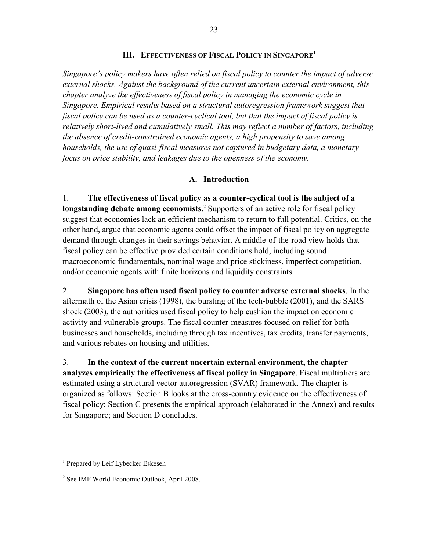#### **III. EFFECTIVENESS OF FISCAL POLICY IN SINGAPORE1**

*Singapore's policy makers have often relied on fiscal policy to counter the impact of adverse external shocks. Against the background of the current uncertain external environment, this chapter analyze the effectiveness of fiscal policy in managing the economic cycle in Singapore. Empirical results based on a structural autoregression framework suggest that fiscal policy can be used as a counter-cyclical tool, but that the impact of fiscal policy is relatively short-lived and cumulatively small. This may reflect a number of factors, including the absence of credit-constrained economic agents, a high propensity to save among households, the use of quasi-fiscal measures not captured in budgetary data, a monetary focus on price stability, and leakages due to the openness of the economy.* 

#### **A. Introduction**

1. **The effectiveness of fiscal policy as a counter-cyclical tool is the subject of a**  longstanding debate among economists.<sup>2</sup> Supporters of an active role for fiscal policy suggest that economies lack an efficient mechanism to return to full potential. Critics, on the other hand, argue that economic agents could offset the impact of fiscal policy on aggregate demand through changes in their savings behavior. A middle-of-the-road view holds that fiscal policy can be effective provided certain conditions hold, including sound macroeconomic fundamentals, nominal wage and price stickiness, imperfect competition, and/or economic agents with finite horizons and liquidity constraints.

2. **Singapore has often used fiscal policy to counter adverse external shocks**. In the aftermath of the Asian crisis (1998), the bursting of the tech-bubble (2001), and the SARS shock (2003), the authorities used fiscal policy to help cushion the impact on economic activity and vulnerable groups. The fiscal counter-measures focused on relief for both businesses and households, including through tax incentives, tax credits, transfer payments, and various rebates on housing and utilities.

3. **In the context of the current uncertain external environment, the chapter analyzes empirically the effectiveness of fiscal policy in Singapore**. Fiscal multipliers are estimated using a structural vector autoregression (SVAR) framework. The chapter is organized as follows: Section B looks at the cross-country evidence on the effectiveness of fiscal policy; Section C presents the empirical approach (elaborated in the Annex) and results for Singapore; and Section D concludes.

 $\overline{a}$ 

<sup>&</sup>lt;sup>1</sup> Prepared by Leif Lybecker Eskesen

<sup>2</sup> See IMF World Economic Outlook, April 2008.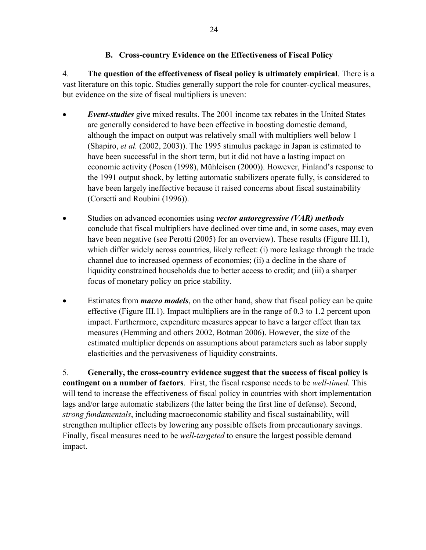## **B. Cross-country Evidence on the Effectiveness of Fiscal Policy**

4. **The question of the effectiveness of fiscal policy is ultimately empirical**. There is a vast literature on this topic. Studies generally support the role for counter-cyclical measures, but evidence on the size of fiscal multipliers is uneven:

- *Event-studies* give mixed results. The 2001 income tax rebates in the United States are generally considered to have been effective in boosting domestic demand, although the impact on output was relatively small with multipliers well below 1 (Shapiro, *et al.* (2002, 2003)). The 1995 stimulus package in Japan is estimated to have been successful in the short term, but it did not have a lasting impact on economic activity (Posen (1998), Mühleisen (2000)). However, Finland's response to the 1991 output shock, by letting automatic stabilizers operate fully, is considered to have been largely ineffective because it raised concerns about fiscal sustainability (Corsetti and Roubini (1996)).
- Studies on advanced economies using *vector autoregressive (VAR) methods* conclude that fiscal multipliers have declined over time and, in some cases, may even have been negative (see Perotti (2005) for an overview). These results (Figure III.1), which differ widely across countries, likely reflect: (i) more leakage through the trade channel due to increased openness of economies; (ii) a decline in the share of liquidity constrained households due to better access to credit; and (iii) a sharper focus of monetary policy on price stability.
- Estimates from *macro models*, on the other hand, show that fiscal policy can be quite effective (Figure III.1). Impact multipliers are in the range of 0.3 to 1.2 percent upon impact. Furthermore, expenditure measures appear to have a larger effect than tax measures (Hemming and others 2002, Botman 2006). However, the size of the estimated multiplier depends on assumptions about parameters such as labor supply elasticities and the pervasiveness of liquidity constraints.

5. **Generally, the cross-country evidence suggest that the success of fiscal policy is contingent on a number of factors**. First, the fiscal response needs to be *well-timed*. This will tend to increase the effectiveness of fiscal policy in countries with short implementation lags and/or large automatic stabilizers (the latter being the first line of defense). Second, *strong fundamentals*, including macroeconomic stability and fiscal sustainability, will strengthen multiplier effects by lowering any possible offsets from precautionary savings. Finally, fiscal measures need to be *well-targeted* to ensure the largest possible demand impact.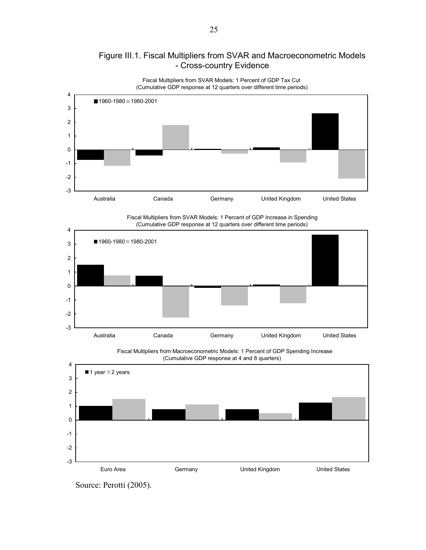

# Figure III.1. Fiscal Multipliers from SVAR and Macroeconometric Models - Cross-country Evidence

Fiscal Multipliers from SVAR Models: 1 Percent of GDP Increase in Spending (Cumulative GDP response at 12 quarters over different time periods)



Fiscal Multipliers from Macroeconometric Models: 1 Percent of GDP Spending Increase (Cumulative GDP response at 4 and 8 quarters)



Source: Perotti (2005).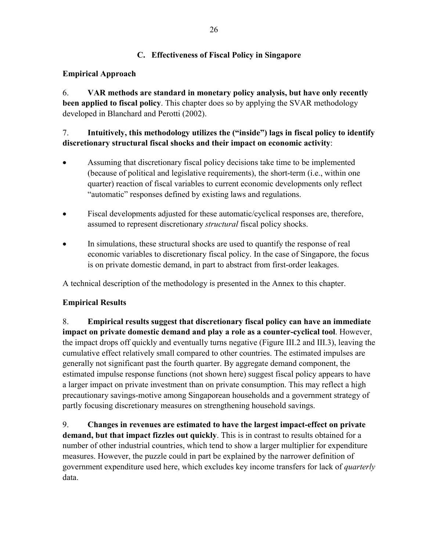## **C. Effectiveness of Fiscal Policy in Singapore**

## **Empirical Approach**

6. **VAR methods are standard in monetary policy analysis, but have only recently been applied to fiscal policy**. This chapter does so by applying the SVAR methodology developed in Blanchard and Perotti (2002).

# 7. **Intuitively, this methodology utilizes the ("inside") lags in fiscal policy to identify discretionary structural fiscal shocks and their impact on economic activity**:

- Assuming that discretionary fiscal policy decisions take time to be implemented (because of political and legislative requirements), the short-term (i.e., within one quarter) reaction of fiscal variables to current economic developments only reflect "automatic" responses defined by existing laws and regulations.
- Fiscal developments adjusted for these automatic/cyclical responses are, therefore, assumed to represent discretionary *structural* fiscal policy shocks.
- In simulations, these structural shocks are used to quantify the response of real economic variables to discretionary fiscal policy. In the case of Singapore, the focus is on private domestic demand, in part to abstract from first-order leakages.

A technical description of the methodology is presented in the Annex to this chapter.

## **Empirical Results**

8. **Empirical results suggest that discretionary fiscal policy can have an immediate impact on private domestic demand and play a role as a counter-cyclical tool**. However, the impact drops off quickly and eventually turns negative (Figure III.2 and III.3), leaving the cumulative effect relatively small compared to other countries. The estimated impulses are generally not significant past the fourth quarter. By aggregate demand component, the estimated impulse response functions (not shown here) suggest fiscal policy appears to have a larger impact on private investment than on private consumption. This may reflect a high precautionary savings-motive among Singaporean households and a government strategy of partly focusing discretionary measures on strengthening household savings.

9. **Changes in revenues are estimated to have the largest impact-effect on private demand, but that impact fizzles out quickly**. This is in contrast to results obtained for a number of other industrial countries, which tend to show a larger multiplier for expenditure measures. However, the puzzle could in part be explained by the narrower definition of government expenditure used here, which excludes key income transfers for lack of *quarterly* data.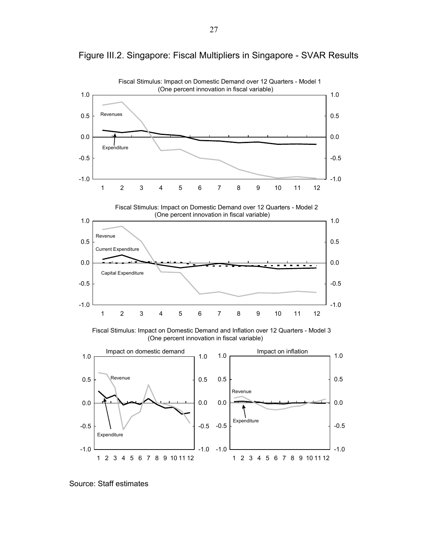

-1.0

-1.0

1 2 3 4 5 6 7 8 9 10 11 12

-1.0

-0.5

-0.5

-0.5

Figure III.2. Singapore: Fiscal Multipliers in Singapore - SVAR Results

Source: Staff estimates

Expenditure

1 2 3 4 5 6 7 8 9 10 11 12

-1.0

-0.5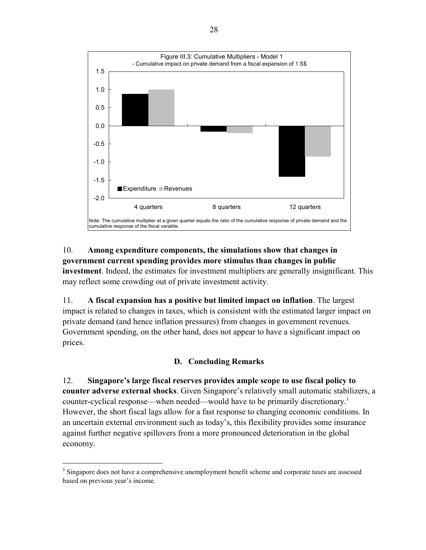

## 10. **Among expenditure components, the simulations show that changes in government current spending provides more stimulus than changes in public**

**investment**. Indeed, the estimates for investment multipliers are generally insignificant. This may reflect some crowding out of private investment activity.

11. **A fiscal expansion has a positive but limited impact on inflation**. The largest impact is related to changes in taxes, which is consistent with the estimated larger impact on private demand (and hence inflation pressures) from changes in government revenues. Government spending, on the other hand, does not appear to have a significant impact on prices.

# **D. Concluding Remarks**

12. **Singapore's large fiscal reserves provides ample scope to use fiscal policy to counter adverse external shocks**. Given Singapore's relatively small automatic stabilizers, a counter-cyclical response—when needed—would have to be primarily discretionary.3 However, the short fiscal lags allow for a fast response to changing economic conditions. In an uncertain external environment such as today's, this flexibility provides some insurance against further negative spillovers from a more pronounced deterioration in the global economy.

 $\overline{a}$ 

<sup>&</sup>lt;sup>3</sup> Singapore does not have a comprehensive unemployment benefit scheme and corporate taxes are assessed based on previous year's income.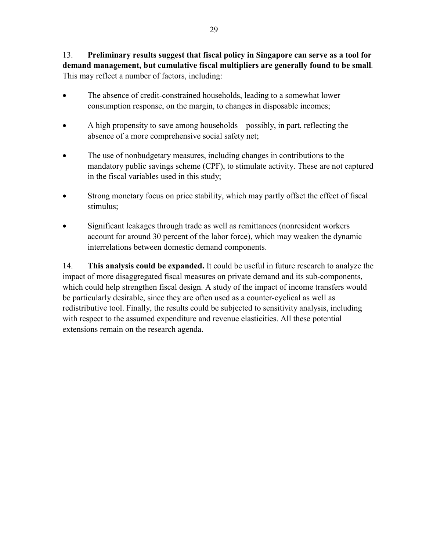13. **Preliminary results suggest that fiscal policy in Singapore can serve as a tool for demand management, but cumulative fiscal multipliers are generally found to be small**. This may reflect a number of factors, including:

- The absence of credit-constrained households, leading to a somewhat lower consumption response, on the margin, to changes in disposable incomes;
- A high propensity to save among households—possibly, in part, reflecting the absence of a more comprehensive social safety net;
- The use of nonbudgetary measures, including changes in contributions to the mandatory public savings scheme (CPF), to stimulate activity. These are not captured in the fiscal variables used in this study;
- Strong monetary focus on price stability, which may partly offset the effect of fiscal stimulus;
- Significant leakages through trade as well as remittances (nonresident workers account for around 30 percent of the labor force), which may weaken the dynamic interrelations between domestic demand components.

14. **This analysis could be expanded.** It could be useful in future research to analyze the impact of more disaggregated fiscal measures on private demand and its sub-components, which could help strengthen fiscal design. A study of the impact of income transfers would be particularly desirable, since they are often used as a counter-cyclical as well as redistributive tool. Finally, the results could be subjected to sensitivity analysis, including with respect to the assumed expenditure and revenue elasticities. All these potential extensions remain on the research agenda.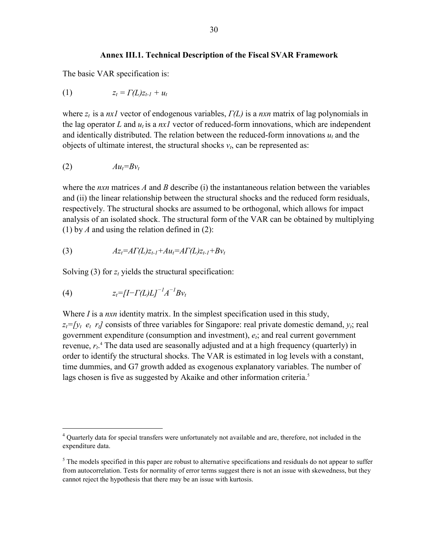#### **Annex III.1. Technical Description of the Fiscal SVAR Framework**

The basic VAR specification is:

$$
(1) \t\t\t z_t = \Gamma(L)z_{t-l} + u_t
$$

where *zt* is a *nx1* vector of endogenous variables, *Γ(L)* is a *nxn* matrix of lag polynomials in the lag operator  $L$  and  $u_t$  is a  $nxI$  vector of reduced-form innovations, which are independent and identically distributed. The relation between the reduced-form innovations  $u_t$  and the objects of ultimate interest, the structural shocks  $v_t$ , can be represented as:

$$
(2) \hspace{3.1em} Au_t = Bv_t
$$

where the *nxn* matrices *A* and *B* describe (i) the instantaneous relation between the variables and (ii) the linear relationship between the structural shocks and the reduced form residuals, respectively. The structural shocks are assumed to be orthogonal, which allows for impact analysis of an isolated shock. The structural form of the VAR can be obtained by multiplying (1) by *A* and using the relation defined in (2):

(3) 
$$
Az_t = AT(L)z_{t-1} + Au_t = AT(L)z_{t-1} + Bv_t
$$

Solving  $(3)$  for  $z_t$  yields the structural specification:

$$
(4) \t z_t = [I - \Gamma(L)L]^{-1} A^{-1} B v_t
$$

 $\overline{a}$ 

Where *I* is a *nxn* identity matrix. In the simplest specification used in this study,  $z_t = f y_t$   $e_t$   $r_t$  consists of three variables for Singapore: real private domestic demand,  $y_t$ ; real government expenditure (consumption and investment),  $e_i$ ; and real current government revenue,  $r_t$ <sup>4</sup>. The data used are seasonally adjusted and at a high frequency (quarterly) in order to identify the structural shocks. The VAR is estimated in log levels with a constant, time dummies, and G7 growth added as exogenous explanatory variables. The number of lags chosen is five as suggested by Akaike and other information criteria.<sup>5</sup>

<sup>&</sup>lt;sup>4</sup> Quarterly data for special transfers were unfortunately not available and are, therefore, not included in the expenditure data.

 $<sup>5</sup>$  The models specified in this paper are robust to alternative specifications and residuals do not appear to suffer</sup> from autocorrelation. Tests for normality of error terms suggest there is not an issue with skewedness, but they cannot reject the hypothesis that there may be an issue with kurtosis.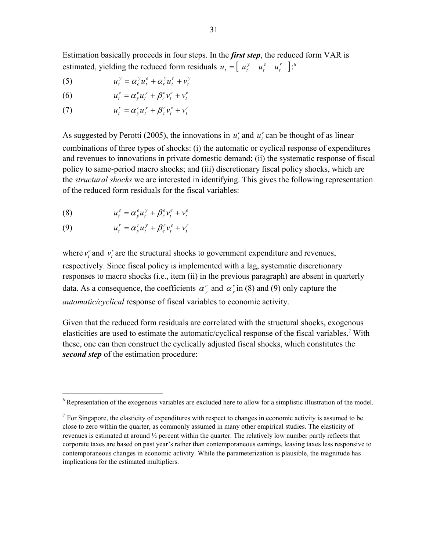Estimation basically proceeds in four steps. In the *first step*, the reduced form VAR is estimated, yielding the reduced form residuals  $u_t = \begin{bmatrix} u_t^y & u_t^e & u_t^r \end{bmatrix}$ *e t*  $u_t = \begin{bmatrix} u_t^y & u_t^e & u_t^r \end{bmatrix}$ :<sup>6</sup>

- (5)  $u_t^y = \alpha_e^y u_t^e + \alpha_r^y u_t^r + v_t^y$ *r t y r e t y e*  $u_t^y = \alpha_e^y u_t^e + \alpha_r^y u_t^r + v$
- (6)  $u_t^e = \alpha_y^e u_t^y + \beta_r^e v_t^e + v_t^e$ *e t e r y t e y*  $u_t^e = \alpha_y^e u_t^y + \beta_r^e v_t^e + v$
- (7)  $u_t^r = \alpha_y^r u_t^y + \beta_e^r v_t^e + v_t^r$ *e t r e y t r y*  $u_t^r = \alpha_y^r u_t^y + \beta_e^r v_t^e + v$

As suggested by Perotti (2005), the innovations in  $u_t^e$  and  $u_t^r$  can be thought of as linear combinations of three types of shocks: (i) the automatic or cyclical response of expenditures and revenues to innovations in private domestic demand; (ii) the systematic response of fiscal policy to same-period macro shocks; and (iii) discretionary fiscal policy shocks, which are the *structural shocks* we are interested in identifying. This gives the following representation of the reduced form residuals for the fiscal variables:

$$
(8) \t u_t^e = \alpha_y^e u_t^y + \beta_r^e v_t^e + v_t^e
$$

$$
(9) \t u_t^r = \alpha_y^r u_t^y + \beta_e^r v_t^e + v_t^r
$$

1

where  $v_t^e$  and  $v_t^r$  are the structural shocks to government expenditure and revenues, respectively. Since fiscal policy is implemented with a lag, systematic discretionary responses to macro shocks (i.e., item (ii) in the previous paragraph) are absent in quarterly data. As a consequence, the coefficients  $\alpha_{\nu}^e$  and  $\alpha_{\nu}^r$  in (8) and (9) only capture the *automatic/cyclical* response of fiscal variables to economic activity.

Given that the reduced form residuals are correlated with the structural shocks, exogenous elasticities are used to estimate the automatic/cyclical response of the fiscal variables.<sup>7</sup> With these, one can then construct the cyclically adjusted fiscal shocks, which constitutes the *second step* of the estimation procedure:

 $6$  Representation of the exogenous variables are excluded here to allow for a simplistic illustration of the model.

 $<sup>7</sup>$  For Singapore, the elasticity of expenditures with respect to changes in economic activity is assumed to be</sup> close to zero within the quarter, as commonly assumed in many other empirical studies. The elasticity of revenues is estimated at around ½ percent within the quarter. The relatively low number partly reflects that corporate taxes are based on past year's rather than contemporaneous earnings, leaving taxes less responsive to contemporaneous changes in economic activity. While the parameterization is plausible, the magnitude has implications for the estimated multipliers.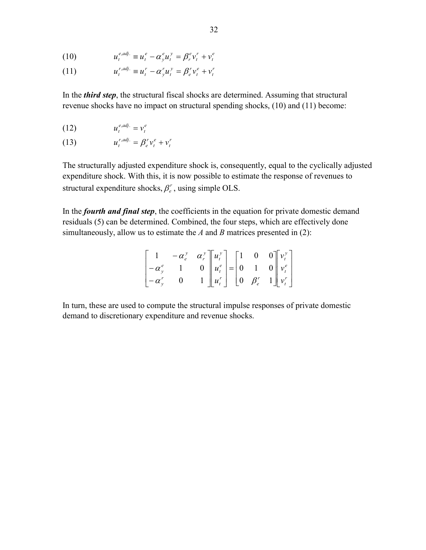$$
(10) \t u_t^{e,adj.} \equiv u_t^e - \alpha_y^e u_t^y = \beta_r^e v_t^r + v_t^e
$$

(11) 
$$
u_t^{r,adj.} \equiv u_t^r - \alpha_y^r u_t^y = \beta_e^r v_t^e + v_t^r
$$

In the *third step*, the structural fiscal shocks are determined. Assuming that structural revenue shocks have no impact on structural spending shocks, (10) and (11) become:

$$
(12) \t u_t^{e, adj.} = v_t^e
$$

$$
(13) \t u_t^{r,adj.} = \beta_e^r v_t^e + v_t^r
$$

The structurally adjusted expenditure shock is, consequently, equal to the cyclically adjusted expenditure shock. With this, it is now possible to estimate the response of revenues to structural expenditure shocks,  $\beta_{e}^{r}$ , using simple OLS.

In the *fourth and final step*, the coefficients in the equation for private domestic demand residuals (5) can be determined. Combined, the four steps, which are effectively done simultaneously, allow us to estimate the *A* and *B* matrices presented in (2):

$$
\begin{bmatrix} 1 & -\alpha_e^y & \alpha_r^y \\ -\alpha_y^e & 1 & 0 \\ -\alpha_y^r & 0 & 1 \end{bmatrix} \begin{bmatrix} u_t^y \\ u_t^e \\ u_t^r \end{bmatrix} = \begin{bmatrix} 1 & 0 & 0 \\ 0 & 1 & 0 \\ 0 & \beta_e^r & 1 \end{bmatrix} \begin{bmatrix} v_t^y \\ v_t^e \\ v_t^r \end{bmatrix}
$$

In turn, these are used to compute the structural impulse responses of private domestic demand to discretionary expenditure and revenue shocks.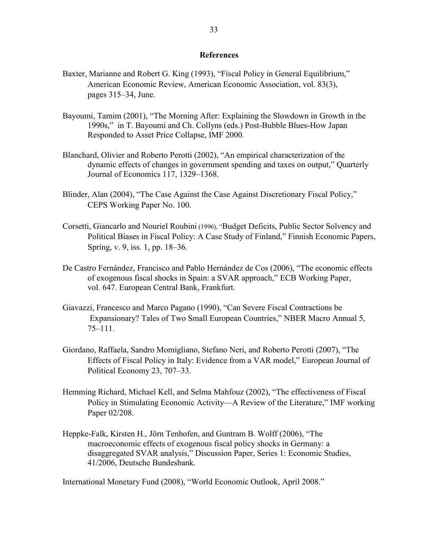#### **References**

- Baxter, Marianne and Robert G. King (1993), "Fiscal Policy in General Equilibrium," American Economic Review, American Economic Association, vol. 83(3), pages 315–34, June.
- Bayoumi, Tamim (2001), "The Morning After: Explaining the Slowdown in Growth in the 1990s," in T. Bayoumi and Ch. Collyns (eds.) Post-Bubble Blues-How Japan Responded to Asset Price Collapse, IMF 2000.
- Blanchard, Olivier and Roberto Perotti (2002), "An empirical characterization of the dynamic effects of changes in government spending and taxes on output," Quarterly Journal of Economics 117, 1329–1368.
- Blinder, Alan (2004), "The Case Against the Case Against Discretionary Fiscal Policy," CEPS Working Paper No. 100.
- Corsetti, Giancarlo and Nouriel Roubini (1996), "Budget Deficits, Public Sector Solvency and Political Biases in Fiscal Policy: A Case Study of Finland," Finnish Economic Papers, Spring, v. 9, iss. 1, pp. 18–36.
- De Castro Fernández, Francisco and Pablo Hernández de Cos (2006), "The economic effects of exogenous fiscal shocks in Spain: a SVAR approach," ECB Working Paper, vol. 647. European Central Bank, Frankfurt.
- Giavazzi, Francesco and Marco Pagano (1990), "Can Severe Fiscal Contractions be Expansionary? Tales of Two Small European Countries," NBER Macro Annual 5, 75–111.
- Giordano, Raffaela, Sandro Momigliano, Stefano Neri, and Roberto Perotti (2007), "The Effects of Fiscal Policy in Italy: Evidence from a VAR model," European Journal of Political Economy 23, 707–33.
- Hemming Richard, Michael Kell, and Selma Mahfouz (2002), "The effectiveness of Fiscal Policy in Stimulating Economic Activity—A Review of the Literature," IMF working Paper 02/208.
- Heppke-Falk, Kirsten H., Jörn Tenhofen, and Guntram B. Wolff (2006), "The macroeconomic effects of exogenous fiscal policy shocks in Germany: a disaggregated SVAR analysis," Discussion Paper, Series 1: Economic Studies, 41/2006, Deutsche Bundesbank.

International Monetary Fund (2008), "World Economic Outlook, April 2008."